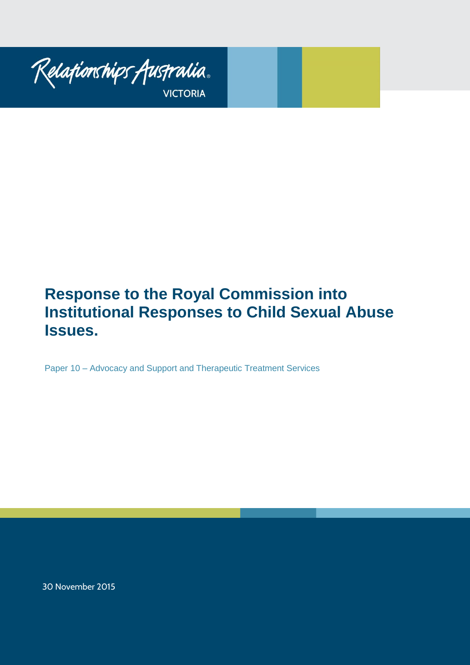

# **Response to the Royal Commission into Institutional Responses to Child Sexual Abuse Issues.**

Paper 10 – Advocacy and Support and Therapeutic Treatment Services

30 November 2015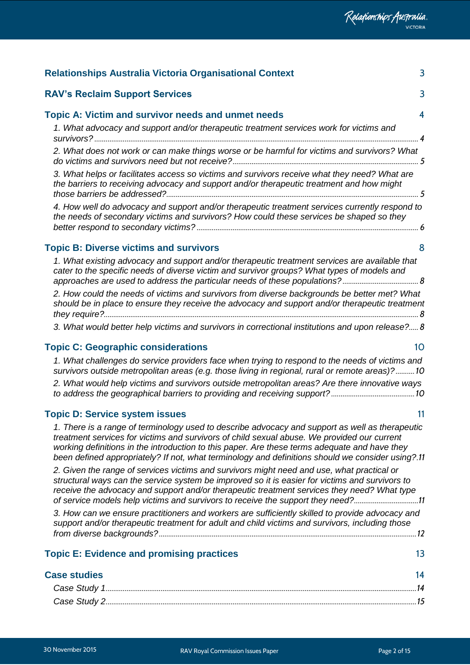| 3<br><b>RAV's Reclaim Support Services</b>                                                                                                                                                                                                                                                                                                                                                           |  |
|------------------------------------------------------------------------------------------------------------------------------------------------------------------------------------------------------------------------------------------------------------------------------------------------------------------------------------------------------------------------------------------------------|--|
| <b>Topic A: Victim and survivor needs and unmet needs</b><br>$\overline{\mathbf{4}}$                                                                                                                                                                                                                                                                                                                 |  |
| 1. What advocacy and support and/or therapeutic treatment services work for victims and                                                                                                                                                                                                                                                                                                              |  |
| 2. What does not work or can make things worse or be harmful for victims and survivors? What                                                                                                                                                                                                                                                                                                         |  |
| 3. What helps or facilitates access so victims and survivors receive what they need? What are<br>the barriers to receiving advocacy and support and/or therapeutic treatment and how might                                                                                                                                                                                                           |  |
| 4. How well do advocacy and support and/or therapeutic treatment services currently respond to<br>the needs of secondary victims and survivors? How could these services be shaped so they                                                                                                                                                                                                           |  |
| <b>Topic B: Diverse victims and survivors</b><br>8                                                                                                                                                                                                                                                                                                                                                   |  |
| 1. What existing advocacy and support and/or therapeutic treatment services are available that<br>cater to the specific needs of diverse victim and survivor groups? What types of models and                                                                                                                                                                                                        |  |
| 2. How could the needs of victims and survivors from diverse backgrounds be better met? What<br>should be in place to ensure they receive the advocacy and support and/or therapeutic treatment                                                                                                                                                                                                      |  |
| 3. What would better help victims and survivors in correctional institutions and upon release? 8                                                                                                                                                                                                                                                                                                     |  |
| <b>Topic C: Geographic considerations</b><br>10                                                                                                                                                                                                                                                                                                                                                      |  |
| 1. What challenges do service providers face when trying to respond to the needs of victims and<br>survivors outside metropolitan areas (e.g. those living in regional, rural or remote areas)?10                                                                                                                                                                                                    |  |
| 2. What would help victims and survivors outside metropolitan areas? Are there innovative ways                                                                                                                                                                                                                                                                                                       |  |
| <b>Topic D: Service system issues</b><br>11                                                                                                                                                                                                                                                                                                                                                          |  |
| 1. There is a range of terminology used to describe advocacy and support as well as therapeutic<br>treatment services for victims and survivors of child sexual abuse. We provided our current<br>working definitions in the introduction to this paper. Are these terms adequate and have they<br>been defined appropriately? If not, what terminology and definitions should we consider using?.11 |  |
| 2. Given the range of services victims and survivors might need and use, what practical or<br>structural ways can the service system be improved so it is easier for victims and survivors to<br>receive the advocacy and support and/or therapeutic treatment services they need? What type<br>of service models help victims and survivors to receive the support they need?11                     |  |
| 3. How can we ensure practitioners and workers are sufficiently skilled to provide advocacy and<br>support and/or therapeutic treatment for adult and child victims and survivors, including those                                                                                                                                                                                                   |  |
|                                                                                                                                                                                                                                                                                                                                                                                                      |  |
| <b>Topic E: Evidence and promising practices</b><br>13                                                                                                                                                                                                                                                                                                                                               |  |
| <b>Case studies</b><br>14                                                                                                                                                                                                                                                                                                                                                                            |  |
|                                                                                                                                                                                                                                                                                                                                                                                                      |  |
|                                                                                                                                                                                                                                                                                                                                                                                                      |  |
|                                                                                                                                                                                                                                                                                                                                                                                                      |  |

**[Relationships Australia Victoria Organisational Context](#page-2-0)** 3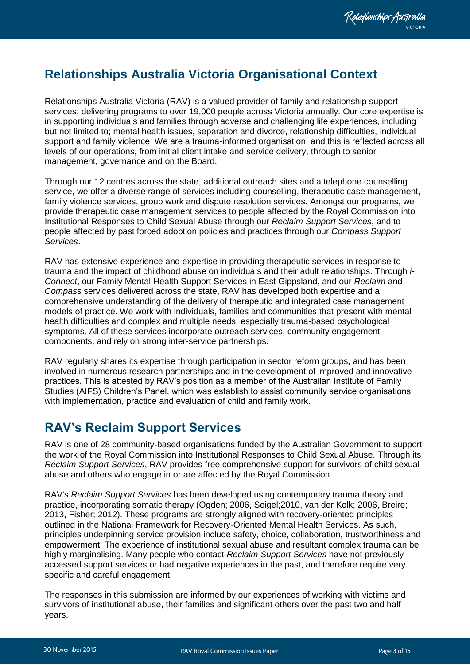## <span id="page-2-0"></span>**Relationships Australia Victoria Organisational Context**

Relationships Australia Victoria (RAV) is a valued provider of family and relationship support services, delivering programs to over 19,000 people across Victoria annually. Our core expertise is in supporting individuals and families through adverse and challenging life experiences, including but not limited to; mental health issues, separation and divorce, relationship difficulties, individual support and family violence. We are a trauma-informed organisation, and this is reflected across all levels of our operations, from initial client intake and service delivery, through to senior management, governance and on the Board.

Through our 12 centres across the state, additional outreach sites and a telephone counselling service, we offer a diverse range of services including counselling, therapeutic case management, family violence services, group work and dispute resolution services. Amongst our programs, we provide therapeutic case management services to people affected by the Royal Commission into Institutional Responses to Child Sexual Abuse through our *Reclaim Support Services*, and to people affected by past forced adoption policies and practices through our *Compass Support Services*.

RAV has extensive experience and expertise in providing therapeutic services in response to trauma and the impact of childhood abuse on individuals and their adult relationships. Through *i-Connect*, our Family Mental Health Support Services in East Gippsland, and our *Reclaim* and *Compass* services delivered across the state, RAV has developed both expertise and a comprehensive understanding of the delivery of therapeutic and integrated case management models of practice. We work with individuals, families and communities that present with mental health difficulties and complex and multiple needs, especially trauma-based psychological symptoms. All of these services incorporate outreach services, community engagement components, and rely on strong inter-service partnerships.

RAV regularly shares its expertise through participation in sector reform groups, and has been involved in numerous research partnerships and in the development of improved and innovative practices. This is attested by RAV"s position as a member of the Australian Institute of Family Studies (AIFS) Children"s Panel, which was establish to assist community service organisations with implementation, practice and evaluation of child and family work.

### <span id="page-2-1"></span>**RAV's Reclaim Support Services**

RAV is one of 28 community-based organisations funded by the Australian Government to support the work of the Royal Commission into Institutional Responses to Child Sexual Abuse. Through its *Reclaim Support Services*, RAV provides free comprehensive support for survivors of child sexual abuse and others who engage in or are affected by the Royal Commission.

RAV's *Reclaim Support Services* has been developed using contemporary trauma theory and practice, incorporating somatic therapy (Ogden; 2006, Seigel;2010, van der Kolk; 2006, Breire; 2013, Fisher; 2012). These programs are strongly aligned with recovery-oriented principles outlined in the National Framework for Recovery-Oriented Mental Health Services. As such, principles underpinning service provision include safety, choice, collaboration, trustworthiness and empowerment. The experience of institutional sexual abuse and resultant complex trauma can be highly marginalising. Many people who contact *Reclaim Support Services* have not previously accessed support services or had negative experiences in the past, and therefore require very specific and careful engagement.

The responses in this submission are informed by our experiences of working with victims and survivors of institutional abuse, their families and significant others over the past two and half years.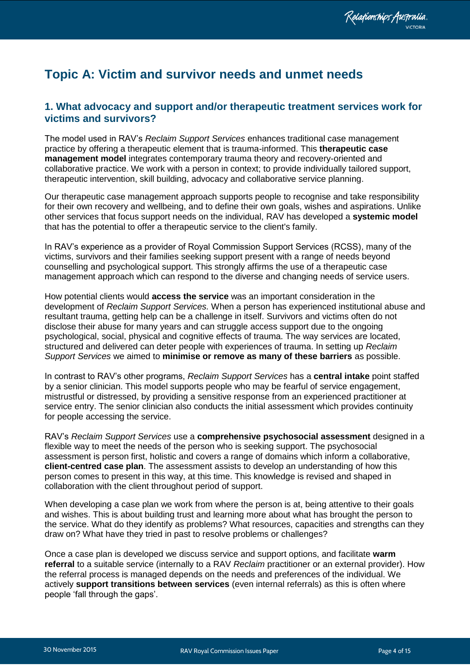## <span id="page-3-0"></span>**Topic A: Victim and survivor needs and unmet needs**

#### <span id="page-3-1"></span>**1. What advocacy and support and/or therapeutic treatment services work for victims and survivors?**

The model used in RAV"s *Reclaim Support Services* enhances traditional case management practice by offering a therapeutic element that is trauma-informed. This **therapeutic case management model** integrates contemporary trauma theory and recovery-oriented and collaborative practice. We work with a person in context; to provide individually tailored support, therapeutic intervention, skill building, advocacy and collaborative service planning.

Our therapeutic case management approach supports people to recognise and take responsibility for their own recovery and wellbeing, and to define their own goals, wishes and aspirations. Unlike other services that focus support needs on the individual, RAV has developed a **systemic model** that has the potential to offer a therapeutic service to the client's family.

In RAV"s experience as a provider of Royal Commission Support Services (RCSS), many of the victims, survivors and their families seeking support present with a range of needs beyond counselling and psychological support. This strongly affirms the use of a therapeutic case management approach which can respond to the diverse and changing needs of service users.

How potential clients would **access the service** was an important consideration in the development of *Reclaim Support Services.* When a person has experienced institutional abuse and resultant trauma, getting help can be a challenge in itself. Survivors and victims often do not disclose their abuse for many years and can struggle access support due to the ongoing psychological, social, physical and cognitive effects of trauma. The way services are located, structured and delivered can deter people with experiences of trauma. In setting up *Reclaim Support Services* we aimed to **minimise or remove as many of these barriers** as possible.

In contrast to RAV"s other programs, *Reclaim Support Services* has a **central intake** point staffed by a senior clinician. This model supports people who may be fearful of service engagement, mistrustful or distressed, by providing a sensitive response from an experienced practitioner at service entry. The senior clinician also conducts the initial assessment which provides continuity for people accessing the service.

RAV"s *Reclaim Support Services* use a **comprehensive psychosocial assessment** designed in a flexible way to meet the needs of the person who is seeking support. The psychosocial assessment is person first, holistic and covers a range of domains which inform a collaborative, **client-centred case plan**. The assessment assists to develop an understanding of how this person comes to present in this way, at this time. This knowledge is revised and shaped in collaboration with the client throughout period of support.

When developing a case plan we work from where the person is at, being attentive to their goals and wishes. This is about building trust and learning more about what has brought the person to the service. What do they identify as problems? What resources, capacities and strengths can they draw on? What have they tried in past to resolve problems or challenges?

Once a case plan is developed we discuss service and support options, and facilitate **warm referral** to a suitable service (internally to a RAV *Reclaim* practitioner or an external provider). How the referral process is managed depends on the needs and preferences of the individual. We actively **support transitions between services** (even internal referrals) as this is often where people "fall through the gaps".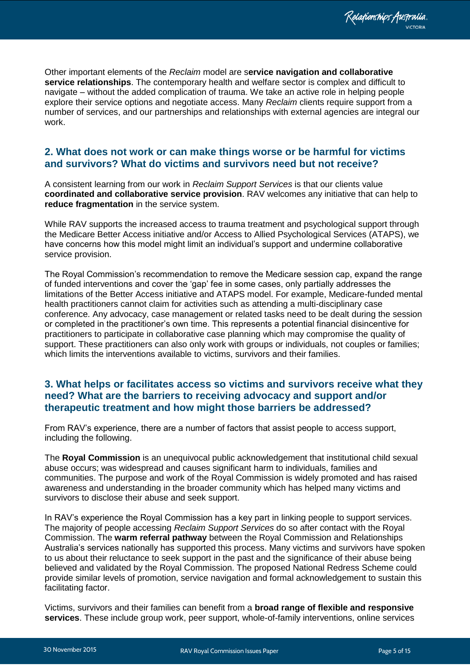Relationships Australia.

Other important elements of the *Reclaim* model are s**ervice navigation and collaborative service relationships**. The contemporary health and welfare sector is complex and difficult to navigate – without the added complication of trauma. We take an active role in helping people explore their service options and negotiate access. Many *Reclaim* clients require support from a number of services, and our partnerships and relationships with external agencies are integral our work.

#### <span id="page-4-0"></span>**2. What does not work or can make things worse or be harmful for victims and survivors? What do victims and survivors need but not receive?**

A consistent learning from our work in *Reclaim Support Services* is that our clients value **coordinated and collaborative service provision**. RAV welcomes any initiative that can help to **reduce fragmentation** in the service system.

While RAV supports the increased access to trauma treatment and psychological support through the Medicare Better Access initiative and/or Access to Allied Psychological Services (ATAPS), we have concerns how this model might limit an individual's support and undermine collaborative service provision.

The Royal Commission"s recommendation to remove the Medicare session cap, expand the range of funded interventions and cover the "gap" fee in some cases, only partially addresses the limitations of the Better Access initiative and ATAPS model. For example, Medicare-funded mental health practitioners cannot claim for activities such as attending a multi-disciplinary case conference. Any advocacy, case management or related tasks need to be dealt during the session or completed in the practitioner"s own time. This represents a potential financial disincentive for practitioners to participate in collaborative case planning which may compromise the quality of support. These practitioners can also only work with groups or individuals, not couples or families; which limits the interventions available to victims, survivors and their families.

#### <span id="page-4-1"></span>**3. What helps or facilitates access so victims and survivors receive what they need? What are the barriers to receiving advocacy and support and/or therapeutic treatment and how might those barriers be addressed?**

From RAV"s experience, there are a number of factors that assist people to access support, including the following.

The **Royal Commission** is an unequivocal public acknowledgement that institutional child sexual abuse occurs; was widespread and causes significant harm to individuals, families and communities. The purpose and work of the Royal Commission is widely promoted and has raised awareness and understanding in the broader community which has helped many victims and survivors to disclose their abuse and seek support.

In RAV"s experience the Royal Commission has a key part in linking people to support services. The majority of people accessing *Reclaim Support Services* do so after contact with the Royal Commission. The **warm referral pathway** between the Royal Commission and Relationships Australia"s services nationally has supported this process. Many victims and survivors have spoken to us about their reluctance to seek support in the past and the significance of their abuse being believed and validated by the Royal Commission. The proposed National Redress Scheme could provide similar levels of promotion, service navigation and formal acknowledgement to sustain this facilitating factor.

Victims, survivors and their families can benefit from a **broad range of flexible and responsive services**. These include group work, peer support, whole-of-family interventions, online services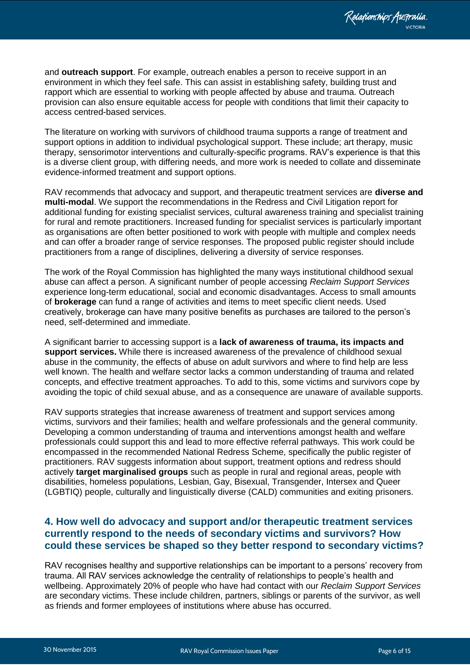and **outreach support**. For example, outreach enables a person to receive support in an environment in which they feel safe. This can assist in establishing safety, building trust and rapport which are essential to working with people affected by abuse and trauma. Outreach provision can also ensure equitable access for people with conditions that limit their capacity to access centred-based services.

The literature on working with survivors of childhood trauma supports a range of treatment and support options in addition to individual psychological support. These include; art therapy, music therapy, sensorimotor interventions and culturally-specific programs. RAV"s experience is that this is a diverse client group, with differing needs, and more work is needed to collate and disseminate evidence-informed treatment and support options.

RAV recommends that advocacy and support, and therapeutic treatment services are **diverse and multi-modal**. We support the recommendations in the Redress and Civil Litigation report for additional funding for existing specialist services, cultural awareness training and specialist training for rural and remote practitioners. Increased funding for specialist services is particularly important as organisations are often better positioned to work with people with multiple and complex needs and can offer a broader range of service responses. The proposed public register should include practitioners from a range of disciplines, delivering a diversity of service responses.

The work of the Royal Commission has highlighted the many ways institutional childhood sexual abuse can affect a person. A significant number of people accessing *Reclaim Support Services*  experience long-term educational, social and economic disadvantages. Access to small amounts of **brokerage** can fund a range of activities and items to meet specific client needs. Used creatively, brokerage can have many positive benefits as purchases are tailored to the person"s need, self-determined and immediate.

A significant barrier to accessing support is a **lack of awareness of trauma, its impacts and support services.** While there is increased awareness of the prevalence of childhood sexual abuse in the community, the effects of abuse on adult survivors and where to find help are less well known. The health and welfare sector lacks a common understanding of trauma and related concepts, and effective treatment approaches. To add to this, some victims and survivors cope by avoiding the topic of child sexual abuse, and as a consequence are unaware of available supports.

RAV supports strategies that increase awareness of treatment and support services among victims, survivors and their families; health and welfare professionals and the general community. Developing a common understanding of trauma and interventions amongst health and welfare professionals could support this and lead to more effective referral pathways. This work could be encompassed in the recommended National Redress Scheme, specifically the public register of practitioners. RAV suggests information about support, treatment options and redress should actively **target marginalised groups** such as people in rural and regional areas, people with disabilities, homeless populations, Lesbian, Gay, Bisexual, Transgender, Intersex and Queer (LGBTIQ) people, culturally and linguistically diverse (CALD) communities and exiting prisoners.

#### <span id="page-5-0"></span>**4. How well do advocacy and support and/or therapeutic treatment services currently respond to the needs of secondary victims and survivors? How could these services be shaped so they better respond to secondary victims?**

RAV recognises healthy and supportive relationships can be important to a persons' recovery from trauma. All RAV services acknowledge the centrality of relationships to people"s health and wellbeing. Approximately 20% of people who have had contact with our *Reclaim Support Services* are secondary victims. These include children, partners, siblings or parents of the survivor, as well as friends and former employees of institutions where abuse has occurred.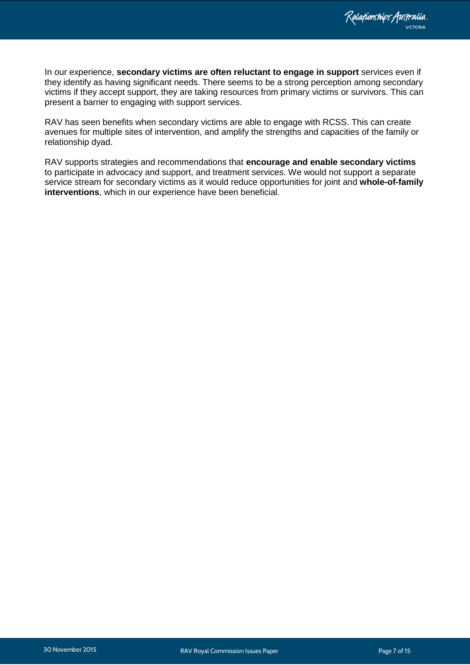In our experience, **secondary victims are often reluctant to engage in support** services even if they identify as having significant needs. There seems to be a strong perception among secondary victims if they accept support, they are taking resources from primary victims or survivors. This can present a barrier to engaging with support services.

RAV has seen benefits when secondary victims are able to engage with RCSS. This can create avenues for multiple sites of intervention, and amplify the strengths and capacities of the family or relationship dyad.

RAV supports strategies and recommendations that **encourage and enable secondary victims**  to participate in advocacy and support, and treatment services. We would not support a separate service stream for secondary victims as it would reduce opportunities for joint and **whole-of-family interventions**, which in our experience have been beneficial.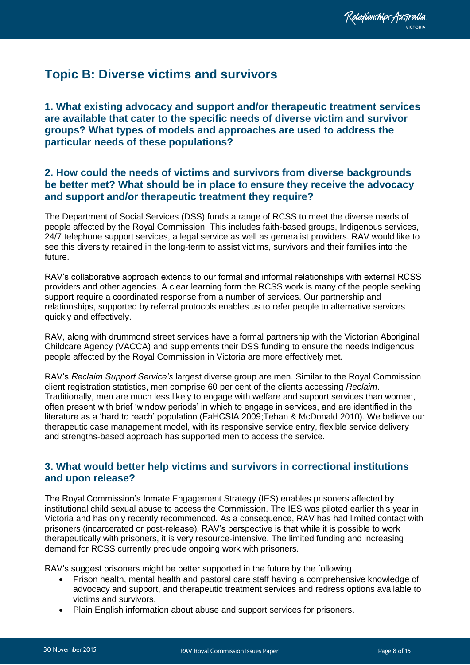## <span id="page-7-0"></span>**Topic B: Diverse victims and survivors**

<span id="page-7-1"></span>**1. What existing advocacy and support and/or therapeutic treatment services are available that cater to the specific needs of diverse victim and survivor groups? What types of models and approaches are used to address the particular needs of these populations?** 

#### <span id="page-7-2"></span>**2. How could the needs of victims and survivors from diverse backgrounds be better met? What should be in place t**o **ensure they receive the advocacy and support and/or therapeutic treatment they require?**

The Department of Social Services (DSS) funds a range of RCSS to meet the diverse needs of people affected by the Royal Commission. This includes faith-based groups, Indigenous services, 24/7 telephone support services, a legal service as well as generalist providers. RAV would like to see this diversity retained in the long-term to assist victims, survivors and their families into the future.

RAV"s collaborative approach extends to our formal and informal relationships with external RCSS providers and other agencies. A clear learning form the RCSS work is many of the people seeking support require a coordinated response from a number of services. Our partnership and relationships, supported by referral protocols enables us to refer people to alternative services quickly and effectively.

RAV, along with drummond street services have a formal partnership with the Victorian Aboriginal Childcare Agency (VACCA) and supplements their DSS funding to ensure the needs Indigenous people affected by the Royal Commission in Victoria are more effectively met.

RAV"s *Reclaim Support Service's* largest diverse group are men. Similar to the Royal Commission client registration statistics, men comprise 60 per cent of the clients accessing *Reclaim*. Traditionally, men are much less likely to engage with welfare and support services than women, often present with brief "window periods" in which to engage in services, and are identified in the literature as a "hard to reach" population (FaHCSIA 2009;Tehan & McDonald 2010). We believe our therapeutic case management model, with its responsive service entry, flexible service delivery and strengths-based approach has supported men to access the service.

#### <span id="page-7-3"></span>**3. What would better help victims and survivors in correctional institutions and upon release?**

The Royal Commission"s Inmate Engagement Strategy (IES) enables prisoners affected by institutional child sexual abuse to access the Commission. The IES was piloted earlier this year in Victoria and has only recently recommenced. As a consequence, RAV has had limited contact with prisoners (incarcerated or post-release). RAV"s perspective is that while it is possible to work therapeutically with prisoners, it is very resource-intensive. The limited funding and increasing demand for RCSS currently preclude ongoing work with prisoners.

RAV's suggest prisoners might be better supported in the future by the following.

- Prison health, mental health and pastoral care staff having a comprehensive knowledge of advocacy and support, and therapeutic treatment services and redress options available to victims and survivors.
- Plain English information about abuse and support services for prisoners.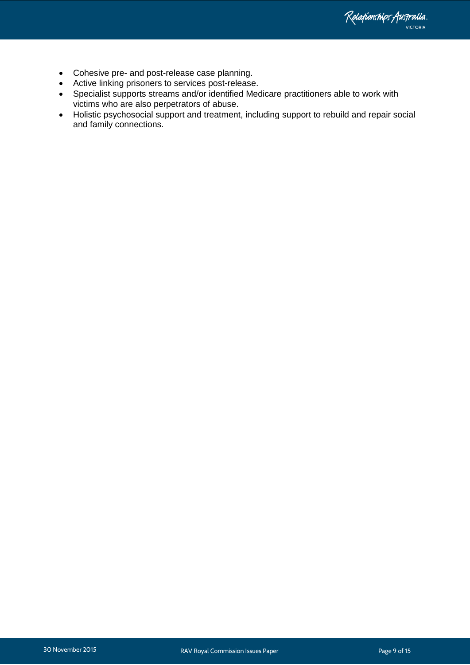Relationships Australia.

- Cohesive pre- and post-release case planning.
- Active linking prisoners to services post-release.
- Specialist supports streams and/or identified Medicare practitioners able to work with victims who are also perpetrators of abuse.
- Holistic psychosocial support and treatment, including support to rebuild and repair social and family connections.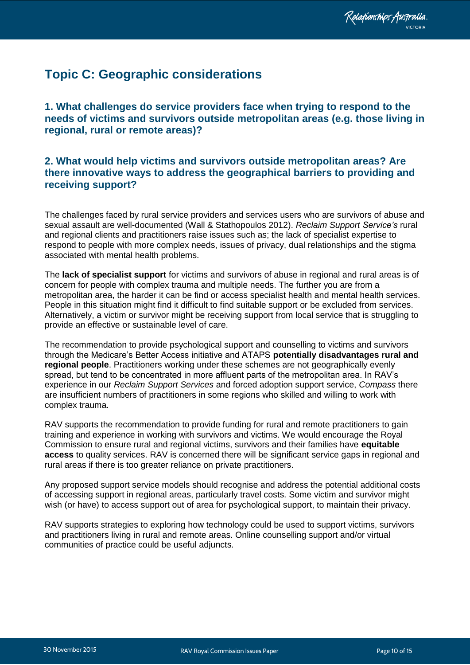## <span id="page-9-0"></span>**Topic C: Geographic considerations**

<span id="page-9-1"></span>**1. What challenges do service providers face when trying to respond to the needs of victims and survivors outside metropolitan areas (e.g. those living in regional, rural or remote areas)?** 

#### <span id="page-9-2"></span>**2. What would help victims and survivors outside metropolitan areas? Are there innovative ways to address the geographical barriers to providing and receiving support?**

The challenges faced by rural service providers and services users who are survivors of abuse and sexual assault are well-documented (Wall & Stathopoulos 2012). *Reclaim Support Service's* rural and regional clients and practitioners raise issues such as; the lack of specialist expertise to respond to people with more complex needs, issues of privacy, dual relationships and the stigma associated with mental health problems.

The **lack of specialist support** for victims and survivors of abuse in regional and rural areas is of concern for people with complex trauma and multiple needs. The further you are from a metropolitan area, the harder it can be find or access specialist health and mental health services. People in this situation might find it difficult to find suitable support or be excluded from services. Alternatively, a victim or survivor might be receiving support from local service that is struggling to provide an effective or sustainable level of care.

The recommendation to provide psychological support and counselling to victims and survivors through the Medicare"s Better Access initiative and ATAPS **potentially disadvantages rural and regional people**. Practitioners working under these schemes are not geographically evenly spread, but tend to be concentrated in more affluent parts of the metropolitan area. In RAV"s experience in our *Reclaim Support Services* and forced adoption support service, *Compass* there are insufficient numbers of practitioners in some regions who skilled and willing to work with complex trauma.

RAV supports the recommendation to provide funding for rural and remote practitioners to gain training and experience in working with survivors and victims. We would encourage the Royal Commission to ensure rural and regional victims, survivors and their families have **equitable access** to quality services. RAV is concerned there will be significant service gaps in regional and rural areas if there is too greater reliance on private practitioners.

Any proposed support service models should recognise and address the potential additional costs of accessing support in regional areas, particularly travel costs. Some victim and survivor might wish (or have) to access support out of area for psychological support, to maintain their privacy.

RAV supports strategies to exploring how technology could be used to support victims, survivors and practitioners living in rural and remote areas. Online counselling support and/or virtual communities of practice could be useful adjuncts.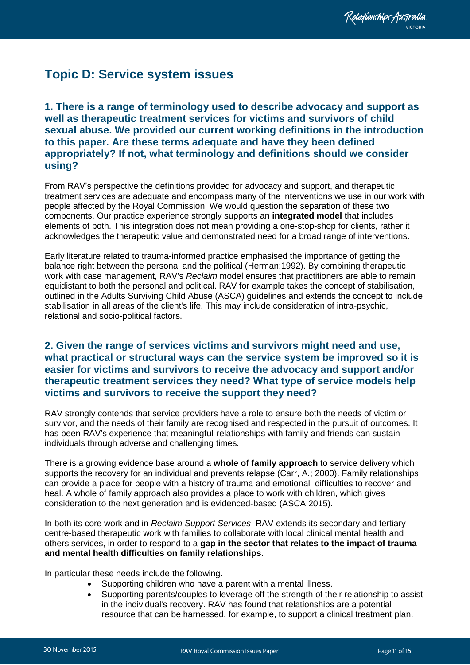## <span id="page-10-0"></span>**Topic D: Service system issues**

<span id="page-10-1"></span>**1. There is a range of terminology used to describe advocacy and support as well as therapeutic treatment services for victims and survivors of child sexual abuse. We provided our current working definitions in the introduction to this paper. Are these terms adequate and have they been defined appropriately? If not, what terminology and definitions should we consider using?** 

From RAV"s perspective the definitions provided for advocacy and support, and therapeutic treatment services are adequate and encompass many of the interventions we use in our work with people affected by the Royal Commission. We would question the separation of these two components. Our practice experience strongly supports an **integrated model** that includes elements of both. This integration does not mean providing a one-stop-shop for clients, rather it acknowledges the therapeutic value and demonstrated need for a broad range of interventions.

Early literature related to trauma-informed practice emphasised the importance of getting the balance right between the personal and the political (Herman;1992). By combining therapeutic work with case management, RAV's *Reclaim* model ensures that practitioners are able to remain equidistant to both the personal and political. RAV for example takes the concept of stabilisation, outlined in the Adults Surviving Child Abuse (ASCA) guidelines and extends the concept to include stabilisation in all areas of the client's life. This may include consideration of intra-psychic, relational and socio-political factors.

#### <span id="page-10-2"></span>**2. Given the range of services victims and survivors might need and use, what practical or structural ways can the service system be improved so it is easier for victims and survivors to receive the advocacy and support and/or therapeutic treatment services they need? What type of service models help victims and survivors to receive the support they need?**

RAV strongly contends that service providers have a role to ensure both the needs of victim or survivor, and the needs of their family are recognised and respected in the pursuit of outcomes. It has been RAV's experience that meaningful relationships with family and friends can sustain individuals through adverse and challenging times.

There is a growing evidence base around a **whole of family approach** to service delivery which supports the recovery for an individual and prevents relapse (Carr, A.; 2000). Family relationships can provide a place for people with a history of trauma and emotional difficulties to recover and heal. A whole of family approach also provides a place to work with children, which gives consideration to the next generation and is evidenced-based (ASCA 2015).

In both its core work and in *Reclaim Support Services*, RAV extends its secondary and tertiary centre-based therapeutic work with families to collaborate with local clinical mental health and others services, in order to respond to a **gap in the sector that relates to the impact of trauma and mental health difficulties on family relationships.**

In particular these needs include the following.

- Supporting children who have a parent with a mental illness.
- Supporting parents/couples to leverage off the strength of their relationship to assist in the individual's recovery. RAV has found that relationships are a potential resource that can be harnessed, for example, to support a clinical treatment plan.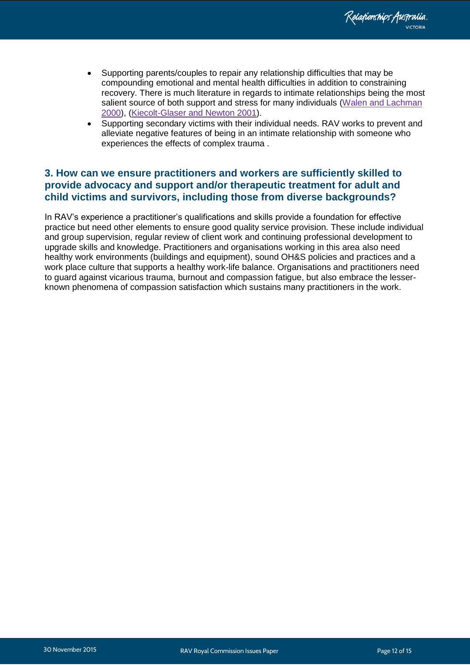- Supporting parents/couples to repair any relationship difficulties that may be compounding emotional and mental health difficulties in addition to constraining recovery. There is much literature in regards to intimate relationships being the most salient source of both support and stress for many individuals [\(Walen and Lachman](http://www.ncbi.nlm.nih.gov/pmc/articles/PMC3150158/#R73)  [2000\)](http://www.ncbi.nlm.nih.gov/pmc/articles/PMC3150158/#R73), [\(Kiecolt-Glaser and Newton 2001\)](http://www.ncbi.nlm.nih.gov/pmc/articles/PMC3150158/#R35).
- Supporting secondary victims with their individual needs. RAV works to prevent and alleviate negative features of being in an intimate relationship with someone who experiences the effects of complex trauma .

#### <span id="page-11-0"></span>**3. How can we ensure practitioners and workers are sufficiently skilled to provide advocacy and support and/or therapeutic treatment for adult and child victims and survivors, including those from diverse backgrounds?**

In RAV"s experience a practitioner"s qualifications and skills provide a foundation for effective practice but need other elements to ensure good quality service provision. These include individual and group supervision, regular review of client work and continuing professional development to upgrade skills and knowledge. Practitioners and organisations working in this area also need healthy work environments (buildings and equipment), sound OH&S policies and practices and a work place culture that supports a healthy work-life balance. Organisations and practitioners need to guard against vicarious trauma, burnout and compassion fatigue, but also embrace the lesserknown phenomena of compassion satisfaction which sustains many practitioners in the work.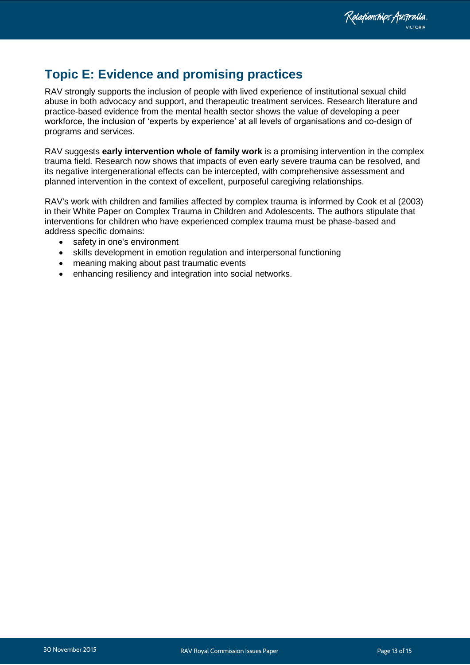## <span id="page-12-0"></span>**Topic E: Evidence and promising practices**

RAV strongly supports the inclusion of people with lived experience of institutional sexual child abuse in both advocacy and support, and therapeutic treatment services. Research literature and practice-based evidence from the mental health sector shows the value of developing a peer workforce, the inclusion of "experts by experience" at all levels of organisations and co-design of programs and services.

RAV suggests **early intervention whole of family work** is a promising intervention in the complex trauma field. Research now shows that impacts of even early severe trauma can be resolved, and its negative intergenerational effects can be intercepted, with comprehensive assessment and planned intervention in the context of excellent, purposeful caregiving relationships.

RAV's work with children and families affected by complex trauma is informed by Cook et al (2003) in their White Paper on Complex Trauma in Children and Adolescents. The authors stipulate that interventions for children who have experienced complex trauma must be phase-based and address specific domains:

- safety in one's environment
- skills development in emotion regulation and interpersonal functioning
- meaning making about past traumatic events
- enhancing resiliency and integration into social networks.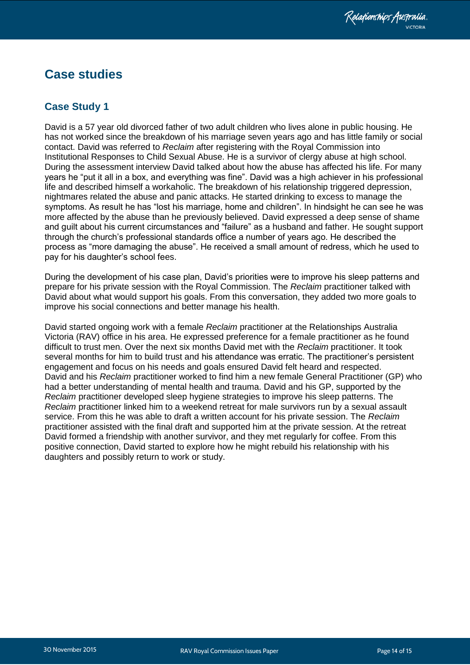### <span id="page-13-0"></span>**Case studies**

#### <span id="page-13-1"></span>**Case Study 1**

David is a 57 year old divorced father of two adult children who lives alone in public housing. He has not worked since the breakdown of his marriage seven years ago and has little family or social contact. David was referred to *Reclaim* after registering with the Royal Commission into Institutional Responses to Child Sexual Abuse. He is a survivor of clergy abuse at high school. During the assessment interview David talked about how the abuse has affected his life. For many years he "put it all in a box, and everything was fine". David was a high achiever in his professional life and described himself a workaholic. The breakdown of his relationship triggered depression, nightmares related the abuse and panic attacks. He started drinking to excess to manage the symptoms. As result he has "lost his marriage, home and children". In hindsight he can see he was more affected by the abuse than he previously believed. David expressed a deep sense of shame and guilt about his current circumstances and "failure" as a husband and father. He sought support through the church"s professional standards office a number of years ago. He described the process as "more damaging the abuse". He received a small amount of redress, which he used to pay for his daughter"s school fees.

During the development of his case plan, David"s priorities were to improve his sleep patterns and prepare for his private session with the Royal Commission. The *Reclaim* practitioner talked with David about what would support his goals. From this conversation, they added two more goals to improve his social connections and better manage his health.

David started ongoing work with a female *Reclaim* practitioner at the Relationships Australia Victoria (RAV) office in his area. He expressed preference for a female practitioner as he found difficult to trust men. Over the next six months David met with the *Reclaim* practitioner. It took several months for him to build trust and his attendance was erratic. The practitioner"s persistent engagement and focus on his needs and goals ensured David felt heard and respected. David and his *Reclaim* practitioner worked to find him a new female General Practitioner (GP) who had a better understanding of mental health and trauma. David and his GP, supported by the *Reclaim* practitioner developed sleep hygiene strategies to improve his sleep patterns. The *Reclaim* practitioner linked him to a weekend retreat for male survivors run by a sexual assault service. From this he was able to draft a written account for his private session. The *Reclaim* practitioner assisted with the final draft and supported him at the private session. At the retreat David formed a friendship with another survivor, and they met regularly for coffee. From this positive connection, David started to explore how he might rebuild his relationship with his daughters and possibly return to work or study.